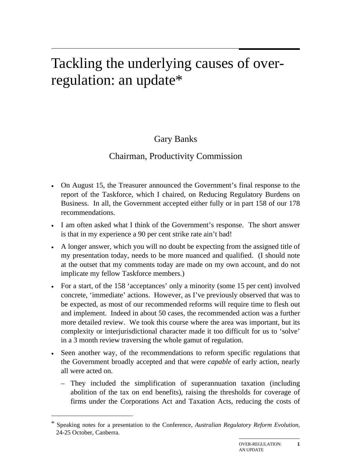# Tackling the underlying causes of overregulation: an update\*

# Gary Banks

# Chairman, Productivity Commission

- On August 15, the Treasurer announced the Government's final response to the report of the Taskforce, which I chaired, on Reducing Regulatory Burdens on Business. In all, the Government accepted either fully or in part 158 of our 178 recommendations.
- I am often asked what I think of the Government's response. The short answer is that in my experience a 90 per cent strike rate ain't bad!
- A longer answer, which you will no doubt be expecting from the assigned title of my presentation today, needs to be more nuanced and qualified. (I should note at the outset that my comments today are made on my own account, and do not implicate my fellow Taskforce members.)
- For a start, of the 158 'acceptances' only a minority (some 15 per cent) involved concrete, 'immediate' actions. However, as I've previously observed that was to be expected, as most of our recommended reforms will require time to flesh out and implement. Indeed in about 50 cases, the recommended action was a further more detailed review. We took this course where the area was important, but its complexity or interjurisdictional character made it too difficult for us to 'solve' in a 3 month review traversing the whole gamut of regulation.
- Seen another way, of the recommendations to reform specific regulations that the Government broadly accepted and that were *capable* of early action, nearly all were acted on.
	- They included the simplification of superannuation taxation (including abolition of the tax on end benefits), raising the thresholds for coverage of firms under the Corporations Act and Taxation Acts, reducing the costs of

1

<sup>\*</sup> Speaking notes for a presentation to the Conference, *Australian Regulatory Reform Evolution*, 24-25 October, Canberra.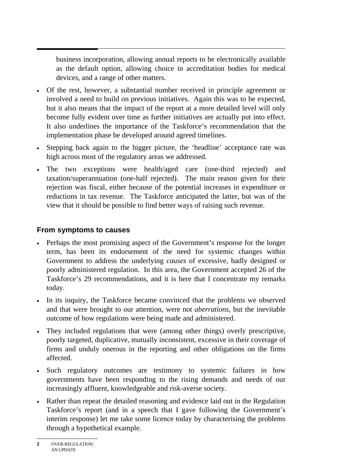business incorporation, allowing annual reports to be electronically available as the default option, allowing choice in accreditation bodies for medical devices, and a range of other matters.

- Of the rest, however, a substantial number received in principle agreement or involved a need to build on previous initiatives. Again this was to be expected, but it also means that the impact of the report at a more detailed level will only become fully evident over time as further initiatives are actually put into effect. It also underlines the importance of the Taskforce's recommendation that the implementation phase be developed around agreed timelines.
- Stepping back again to the bigger picture, the 'headline' acceptance rate was high across most of the regulatory areas we addressed.
- The two exceptions were health/aged care (one-third rejected) and taxation/superannuation (one-half rejected). The main reason given for their rejection was fiscal, either because of the potential increases in expenditure or reductions in tax revenue. The Taskforce anticipated the latter, but was of the view that it should be possible to find better ways of raising such revenue.

## **From symptoms to causes**

- Perhaps the most promising aspect of the Government's response for the longer term, has been its endorsement of the need for systemic changes within Government to address the underlying *causes* of excessive, badly designed or poorly administered regulation. In this area, the Government accepted 26 of the Taskforce's 29 recommendations, and it is here that I concentrate my remarks today.
- In its inquiry, the Taskforce became convinced that the problems we observed and that were brought to our attention, were not *aberrations*, but the inevitable outcome of how regulations were being made and administered.
- They included regulations that were (among other things) overly prescriptive, poorly targeted, duplicative, mutually inconsistent, excessive in their coverage of firms and unduly onerous in the reporting and other obligations on the firms affected.
- Such regulatory outcomes are testimony to systemic failures in how governments have been responding to the rising demands and needs of our increasingly affluent, knowledgeable and risk-averse society.
- Rather than repeat the detailed reasoning and evidence laid out in the Regulation Taskforce's report (and in a speech that I gave following the Government's interim response) let me take some licence today by characterising the problems through a hypothetical example.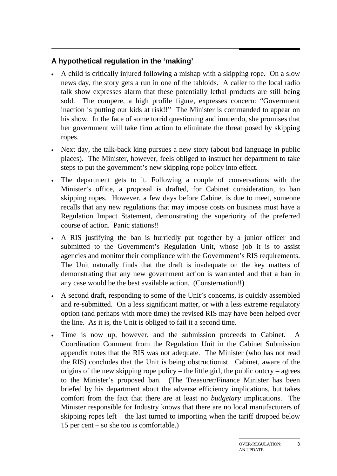# **A hypothetical regulation in the 'making'**

- A child is critically injured following a mishap with a skipping rope. On a slow news day, the story gets a run in one of the tabloids. A caller to the local radio talk show expresses alarm that these potentially lethal products are still being sold. The compere, a high profile figure, expresses concern: "Government inaction is putting our kids at risk!!" The Minister is commanded to appear on his show. In the face of some torrid questioning and innuendo, she promises that her government will take firm action to eliminate the threat posed by skipping ropes.
- Next day, the talk-back king pursues a new story (about bad language in public places). The Minister, however, feels obliged to instruct her department to take steps to put the government's new skipping rope policy into effect.
- The department gets to it. Following a couple of conversations with the Minister's office, a proposal is drafted, for Cabinet consideration, to ban skipping ropes. However, a few days before Cabinet is due to meet, someone recalls that any new regulations that may impose costs on business must have a Regulation Impact Statement, demonstrating the superiority of the preferred course of action. Panic stations!!
- A RIS justifying the ban is hurriedly put together by a junior officer and submitted to the Government's Regulation Unit, whose job it is to assist agencies and monitor their compliance with the Government's RIS requirements. The Unit naturally finds that the draft is inadequate on the key matters of demonstrating that any new government action is warranted and that a ban in any case would be the best available action. (Consternation!!)
- A second draft, responding to some of the Unit's concerns, is quickly assembled and re-submitted. On a less significant matter, or with a less extreme regulatory option (and perhaps with more time) the revised RIS may have been helped over the line. As it is, the Unit is obliged to fail it a second time.
- Time is now up, however, and the submission proceeds to Cabinet. A Coordination Comment from the Regulation Unit in the Cabinet Submission appendix notes that the RIS was not adequate. The Minister (who has not read the RIS) concludes that the Unit is being obstructionist. Cabinet, aware of the origins of the new skipping rope policy – the little girl, the public outcry – agrees to the Minister's proposed ban. (The Treasurer/Finance Minister has been briefed by his department about the adverse efficiency implications, but takes comfort from the fact that there are at least no *budgetary* implications. The Minister responsible for Industry knows that there are no local manufacturers of skipping ropes left – the last turned to importing when the tariff dropped below 15 per cent – so she too is comfortable.)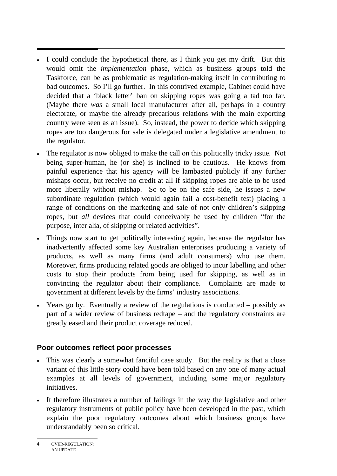- I could conclude the hypothetical there, as I think you get my drift. But this would omit the *implementation* phase, which as business groups told the Taskforce, can be as problematic as regulation-making itself in contributing to bad outcomes. So I'll go further. In this contrived example, Cabinet could have decided that a 'black letter' ban on skipping ropes was going a tad too far. (Maybe there *was* a small local manufacturer after all, perhaps in a country electorate, or maybe the already precarious relations with the main exporting country were seen as an issue). So, instead, the power to decide which skipping ropes are too dangerous for sale is delegated under a legislative amendment to the regulator.
- The regulator is now obliged to make the call on this politically tricky issue. Not being super-human, he (or she) is inclined to be cautious. He knows from painful experience that his agency will be lambasted publicly if any further mishaps occur, but receive no credit at all if skipping ropes are able to be used more liberally without mishap. So to be on the safe side, he issues a new subordinate regulation (which would again fail a cost-benefit test) placing a range of conditions on the marketing and sale of not only children's skipping ropes, but *all* devices that could conceivably be used by children "for the purpose, inter alia, of skipping or related activities".
- Things now start to get politically interesting again, because the regulator has inadvertently affected some key Australian enterprises producing a variety of products, as well as many firms (and adult consumers) who use them. Moreover, firms producing related goods are obliged to incur labelling and other costs to stop their products from being used for skipping, as well as in convincing the regulator about their compliance. Complaints are made to government at different levels by the firms' industry associations.
- Years go by. Eventually a review of the regulations is conducted possibly as part of a wider review of business redtape – and the regulatory constraints are greatly eased and their product coverage reduced.

## **Poor outcomes reflect poor processes**

- This was clearly a somewhat fanciful case study. But the reality is that a close variant of this little story could have been told based on any one of many actual examples at all levels of government, including some major regulatory initiatives.
- It therefore illustrates a number of failings in the way the legislative and other regulatory instruments of public policy have been developed in the past, which explain the poor regulatory outcomes about which business groups have understandably been so critical.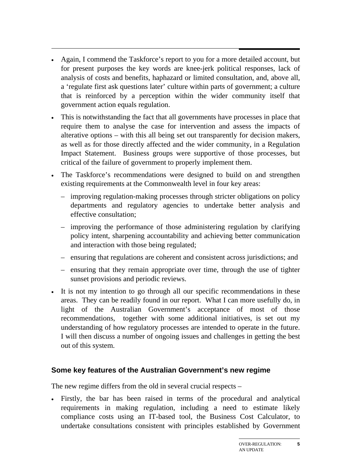- Again, I commend the Taskforce's report to you for a more detailed account, but for present purposes the key words are knee-jerk political responses, lack of analysis of costs and benefits, haphazard or limited consultation, and, above all, a 'regulate first ask questions later' culture within parts of government; a culture that is reinforced by a perception within the wider community itself that government action equals regulation.
- This is notwithstanding the fact that all governments have processes in place that require them to analyse the case for intervention and assess the impacts of alterative options – with this all being set out transparently for decision makers, as well as for those directly affected and the wider community, in a Regulation Impact Statement. Business groups were supportive of those processes, but critical of the failure of government to properly implement them.
- The Taskforce's recommendations were designed to build on and strengthen existing requirements at the Commonwealth level in four key areas:
	- improving regulation-making processes through stricter obligations on policy departments and regulatory agencies to undertake better analysis and effective consultation;
	- improving the performance of those administering regulation by clarifying policy intent, sharpening accountability and achieving better communication and interaction with those being regulated;
	- ensuring that regulations are coherent and consistent across jurisdictions; and
	- ensuring that they remain appropriate over time, through the use of tighter sunset provisions and periodic reviews.
- It is not my intention to go through all our specific recommendations in these areas. They can be readily found in our report. What I can more usefully do, in light of the Australian Government's acceptance of most of those recommendations, together with some additional initiatives, is set out my understanding of how regulatory processes are intended to operate in the future. I will then discuss a number of ongoing issues and challenges in getting the best out of this system.

#### **Some key features of the Australian Government's new regime**

The new regime differs from the old in several crucial respects –

• Firstly, the bar has been raised in terms of the procedural and analytical requirements in making regulation, including a need to estimate likely compliance costs using an IT-based tool, the Business Cost Calculator, to undertake consultations consistent with principles established by Government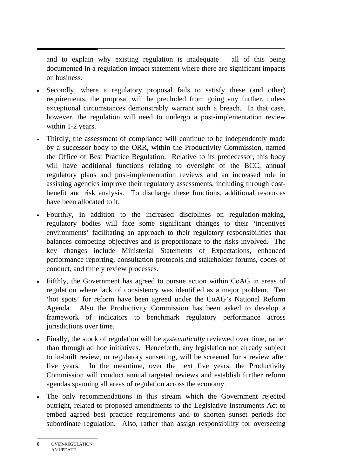and to explain why existing regulation is inadequate – all of this being documented in a regulation impact statement where there are significant impacts on business.

- Secondly, where a regulatory proposal fails to satisfy these (and other) requirements, the proposal will be precluded from going any further, unless exceptional circumstances demonstrably warrant such a breach. In that case, however, the regulation will need to undergo a post-implementation review within 1-2 years.
- Thirdly, the assessment of compliance will continue to be independently made by a successor body to the ORR, within the Productivity Commission, named the Office of Best Practice Regulation. Relative to its predecessor, this body will have additional functions relating to oversight of the BCC, annual regulatory plans and post-implementation reviews and an increased role in assisting agencies improve their regulatory assessments, including through costbenefit and risk analysis. To discharge these functions, additional resources have been allocated to it.
- Fourthly, in addition to the increased disciplines on regulation-making, regulatory bodies will face some significant changes to their 'incentives environments' facilitating an approach to their regulatory responsibilities that balances competing objectives and is proportionate to the risks involved. The key changes include Ministerial Statements of Expectations, enhanced performance reporting, consultation protocols and stakeholder forums, codes of conduct, and timely review processes.
- Fifthly, the Government has agreed to pursue action within CoAG in areas of regulation where lack of consistency was identified as a major problem. Ten 'hot spots' for reform have been agreed under the CoAG's National Reform Agenda. Also the Productivity Commission has been asked to develop a framework of indicators to benchmark regulatory performance across jurisdictions over time.
- Finally, the stock of regulation will be *systematically* reviewed over time, rather than through ad hoc initiatives. Henceforth, any legislation not already subject to in-built review, or regulatory sunsetting, will be screened for a review after five years. In the meantime, over the next five years, the Productivity Commission will conduct annual targeted reviews and establish further reform agendas spanning all areas of regulation across the economy.
- The only recommendations in this stream which the Government rejected outright, related to proposed amendments to the Legislative Instruments Act to embed agreed best practice requirements and to shorten sunset periods for subordinate regulation. Also, rather than assign responsibility for overseeing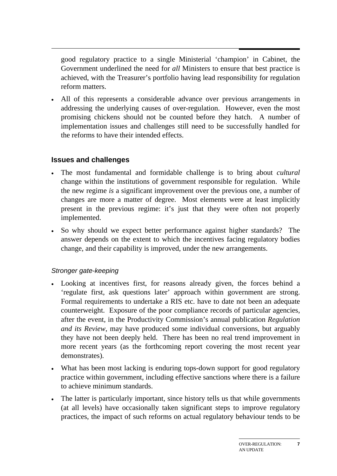good regulatory practice to a single Ministerial 'champion' in Cabinet, the Government underlined the need for *all* Ministers to ensure that best practice is achieved, with the Treasurer's portfolio having lead responsibility for regulation reform matters.

• All of this represents a considerable advance over previous arrangements in addressing the underlying causes of over-regulation. However, even the most promising chickens should not be counted before they hatch. A number of implementation issues and challenges still need to be successfully handled for the reforms to have their intended effects.

## **Issues and challenges**

- The most fundamental and formidable challenge is to bring about *cultural* change within the institutions of government responsible for regulation. While the new regime *is* a significant improvement over the previous one, a number of changes are more a matter of degree. Most elements were at least implicitly present in the previous regime: it's just that they were often not properly implemented.
- So why should we expect better performance against higher standards? The answer depends on the extent to which the incentives facing regulatory bodies change, and their capability is improved, under the new arrangements.

## *Stronger gate-keeping*

- Looking at incentives first, for reasons already given, the forces behind a 'regulate first, ask questions later' approach within government are strong. Formal requirements to undertake a RIS etc. have to date not been an adequate counterweight. Exposure of the poor compliance records of particular agencies, after the event, in the Productivity Commission's annual publication *Regulation and its Review*, may have produced some individual conversions, but arguably they have not been deeply held. There has been no real trend improvement in more recent years (as the forthcoming report covering the most recent year demonstrates).
- What has been most lacking is enduring tops-down support for good regulatory practice within government, including effective sanctions where there is a failure to achieve minimum standards.
- The latter is particularly important, since history tells us that while governments (at all levels) have occasionally taken significant steps to improve regulatory practices, the impact of such reforms on actual regulatory behaviour tends to be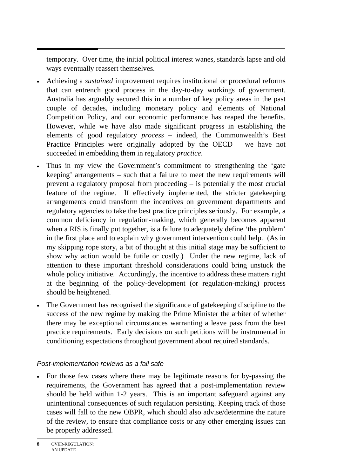temporary. Over time, the initial political interest wanes, standards lapse and old ways eventually reassert themselves.

- Achieving a *sustained* improvement requires institutional or procedural reforms that can entrench good process in the day-to-day workings of government. Australia has arguably secured this in a number of key policy areas in the past couple of decades, including monetary policy and elements of National Competition Policy, and our economic performance has reaped the benefits. However, while we have also made significant progress in establishing the elements of good regulatory *process* – indeed, the Commonwealth's Best Practice Principles were originally adopted by the OECD – we have not succeeded in embedding them in regulatory *practice*.
- Thus in my view the Government's commitment to strengthening the 'gate keeping' arrangements – such that a failure to meet the new requirements will prevent a regulatory proposal from proceeding – is potentially the most crucial feature of the regime. If effectively implemented, the stricter gatekeeping arrangements could transform the incentives on government departments and regulatory agencies to take the best practice principles seriously. For example, a common deficiency in regulation-making, which generally becomes apparent when a RIS is finally put together, is a failure to adequately define 'the problem' in the first place and to explain why government intervention could help. (As in my skipping rope story, a bit of thought at this initial stage may be sufficient to show why action would be futile or costly.) Under the new regime, lack of attention to these important threshold considerations could bring unstuck the whole policy initiative. Accordingly, the incentive to address these matters right at the beginning of the policy-development (or regulation-making) process should be heightened.
- The Government has recognised the significance of gatekeeping discipline to the success of the new regime by making the Prime Minister the arbiter of whether there may be exceptional circumstances warranting a leave pass from the best practice requirements. Early decisions on such petitions will be instrumental in conditioning expectations throughout government about required standards.

## *Post-implementation reviews as a fail safe*

• For those few cases where there may be legitimate reasons for by-passing the requirements, the Government has agreed that a post-implementation review should be held within 1-2 years. This is an important safeguard against any unintentional consequences of such regulation persisting. Keeping track of those cases will fall to the new OBPR, which should also advise/determine the nature of the review, to ensure that compliance costs or any other emerging issues can be properly addressed.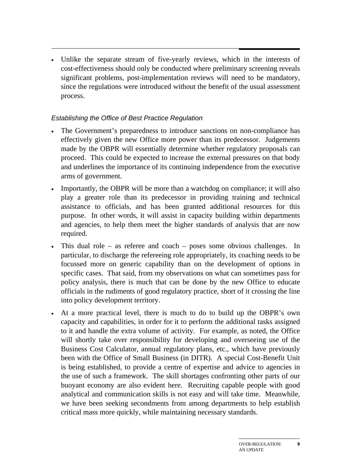• Unlike the separate stream of five-yearly reviews, which in the interests of cost-effectiveness should only be conducted where preliminary screening reveals significant problems, post-implementation reviews will need to be mandatory, since the regulations were introduced without the benefit of the usual assessment process.

#### *Establishing the Office of Best Practice Regulation*

- The Government's preparedness to introduce sanctions on non-compliance has effectively given the new Office more power than its predecessor. Judgements made by the OBPR will essentially determine whether regulatory proposals can proceed. This could be expected to increase the external pressures on that body and underlines the importance of its continuing independence from the executive arms of government.
- Importantly, the OBPR will be more than a watchdog on compliance; it will also play a greater role than its predecessor in providing training and technical assistance to officials, and has been granted additional resources for this purpose. In other words, it will assist in capacity building within departments and agencies, to help them meet the higher standards of analysis that are now required.
- This dual role as referee and coach poses some obvious challenges. In particular, to discharge the refereeing role appropriately, its coaching needs to be focussed more on generic capability than on the development of options in specific cases. That said, from my observations on what can sometimes pass for policy analysis, there is much that can be done by the new Office to educate officials in the rudiments of good regulatory practice, short of it crossing the line into policy development territory.
- At a more practical level, there is much to do to build up the OBPR's own capacity and capabilities, in order for it to perform the additional tasks assigned to it and handle the extra volume of activity. For example, as noted, the Office will shortly take over responsibility for developing and overseeing use of the Business Cost Calculator, annual regulatory plans, etc., which have previously been with the Office of Small Business (in DITR). A special Cost-Benefit Unit is being established, to provide a centre of expertise and advice to agencies in the use of such a framework. The skill shortages confronting other parts of our buoyant economy are also evident here. Recruiting capable people with good analytical and communication skills is not easy and will take time. Meanwhile, we have been seeking secondments from among departments to help establish critical mass more quickly, while maintaining necessary standards.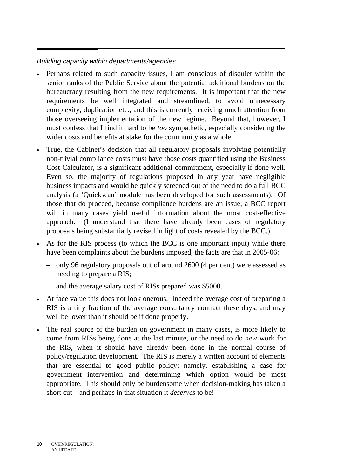## *Building capacity within departments/agencies*

- Perhaps related to such capacity issues, I am conscious of disquiet within the senior ranks of the Public Service about the potential additional burdens on the bureaucracy resulting from the new requirements. It is important that the new requirements be well integrated and streamlined, to avoid unnecessary complexity, duplication etc., and this is currently receiving much attention from those overseeing implementation of the new regime. Beyond that, however, I must confess that I find it hard to be *too* sympathetic, especially considering the wider costs and benefits at stake for the community as a whole.
- True, the Cabinet's decision that all regulatory proposals involving potentially non-trivial compliance costs must have those costs quantified using the Business Cost Calculator, is a significant additional commitment, especially if done well. Even so, the majority of regulations proposed in any year have negligible business impacts and would be quickly screened out of the need to do a full BCC analysis (a 'Quickscan' module has been developed for such assessments). Of those that do proceed, because compliance burdens are an issue, a BCC report will in many cases yield useful information about the most cost-effective approach. (I understand that there have already been cases of regulatory proposals being substantially revised in light of costs revealed by the BCC.)
- As for the RIS process (to which the BCC is one important input) while there have been complaints about the burdens imposed, the facts are that in 2005-06:
	- only 96 regulatory proposals out of around 2600 (4 per cent) were assessed as needing to prepare a RIS;
	- and the average salary cost of RISs prepared was \$5000.
- At face value this does not look onerous. Indeed the average cost of preparing a RIS is a tiny fraction of the average consultancy contract these days, and may well be lower than it should be if done properly.
- The real source of the burden on government in many cases, is more likely to come from RISs being done at the last minute, or the need to do *new* work for the RIS, when it should have already been done in the normal course of policy/regulation development. The RIS is merely a written account of elements that are essential to good public policy: namely, establishing a case for government intervention and determining which option would be most appropriate. This should only be burdensome when decision-making has taken a short cut – and perhaps in that situation it *deserves* to be!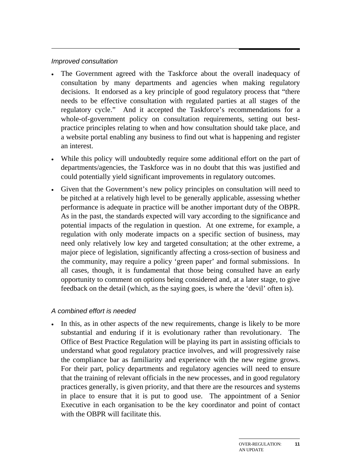#### *Improved consultation*

- The Government agreed with the Taskforce about the overall inadequacy of consultation by many departments and agencies when making regulatory decisions. It endorsed as a key principle of good regulatory process that "there needs to be effective consultation with regulated parties at all stages of the regulatory cycle." And it accepted the Taskforce's recommendations for a whole-of-government policy on consultation requirements, setting out bestpractice principles relating to when and how consultation should take place, and a website portal enabling any business to find out what is happening and register an interest.
- While this policy will undoubtedly require some additional effort on the part of departments/agencies, the Taskforce was in no doubt that this was justified and could potentially yield significant improvements in regulatory outcomes.
- Given that the Government's new policy principles on consultation will need to be pitched at a relatively high level to be generally applicable, assessing whether performance is adequate in practice will be another important duty of the OBPR. As in the past, the standards expected will vary according to the significance and potential impacts of the regulation in question. At one extreme, for example, a regulation with only moderate impacts on a specific section of business, may need only relatively low key and targeted consultation; at the other extreme, a major piece of legislation, significantly affecting a cross-section of business and the community, may require a policy 'green paper' and formal submissions. In all cases, though, it is fundamental that those being consulted have an early opportunity to comment on options being considered and, at a later stage, to give feedback on the detail (which, as the saying goes, is where the 'devil' often is).

#### *A combined effort is needed*

In this, as in other aspects of the new requirements, change is likely to be more substantial and enduring if it is evolutionary rather than revolutionary. The Office of Best Practice Regulation will be playing its part in assisting officials to understand what good regulatory practice involves, and will progressively raise the compliance bar as familiarity and experience with the new regime grows. For their part, policy departments and regulatory agencies will need to ensure that the training of relevant officials in the new processes, and in good regulatory practices generally, is given priority, and that there are the resources and systems in place to ensure that it is put to good use. The appointment of a Senior Executive in each organisation to be the key coordinator and point of contact with the OBPR will facilitate this.